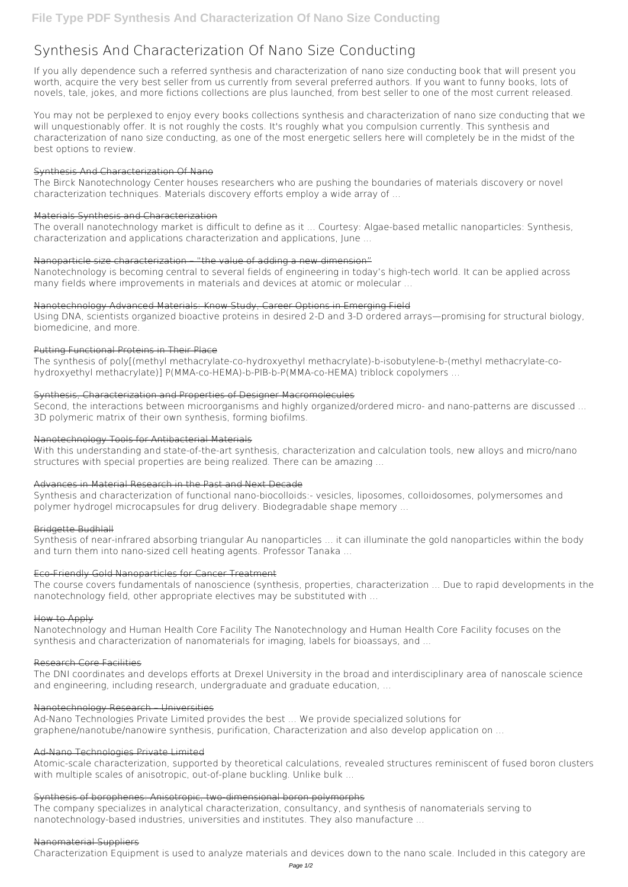# **Synthesis And Characterization Of Nano Size Conducting**

If you ally dependence such a referred **synthesis and characterization of nano size conducting** book that will present you worth, acquire the very best seller from us currently from several preferred authors. If you want to funny books, lots of novels, tale, jokes, and more fictions collections are plus launched, from best seller to one of the most current released.

You may not be perplexed to enjoy every books collections synthesis and characterization of nano size conducting that we will unquestionably offer. It is not roughly the costs. It's roughly what you compulsion currently. This synthesis and characterization of nano size conducting, as one of the most energetic sellers here will completely be in the midst of the best options to review.

#### Synthesis And Characterization Of Nano

The Birck Nanotechnology Center houses researchers who are pushing the boundaries of materials discovery or novel characterization techniques. Materials discovery efforts employ a wide array of ...

#### Materials Synthesis and Characterization

The overall nanotechnology market is difficult to define as it ... Courtesy: Algae-based metallic nanoparticles: Synthesis, characterization and applications characterization and applications, June ...

### Nanoparticle size characterization – "the value of adding a new dimension"

Nanotechnology is becoming central to several fields of engineering in today's high-tech world. It can be applied across many fields where improvements in materials and devices at atomic or molecular ...

### Nanotechnology Advanced Materials: Know Study, Career Options in Emerging Field

Using DNA, scientists organized bioactive proteins in desired 2-D and 3-D ordered arrays—promising for structural biology, biomedicine, and more.

### Putting Functional Proteins in Their Place

The synthesis of poly[(methyl methacrylate-co-hydroxyethyl methacrylate)-b-isobutylene-b-(methyl methacrylate-cohydroxyethyl methacrylate)] P(MMA-co-HEMA)-b-PIB-b-P(MMA-co-HEMA) triblock copolymers ...

Atomic-scale characterization, supported by theoretical calculations, revealed structures reminiscent of fused boron clusters with multiple scales of anisotropic, out-of-plane buckling. Unlike bulk ...

### Synthesis, Characterization and Properties of Designer Macromolecules

Second, the interactions between microorganisms and highly organized/ordered micro- and nano-patterns are discussed ... 3D polymeric matrix of their own synthesis, forming biofilms.

### Nanotechnology Tools for Antibacterial Materials

With this understanding and state-of-the-art synthesis, characterization and calculation tools, new alloys and micro/nano structures with special properties are being realized. There can be amazing ...

### Advances in Material Research in the Past and Next Decade

Synthesis and characterization of functional nano-biocolloids:- vesicles, liposomes, colloidosomes, polymersomes and polymer hydrogel microcapsules for drug delivery. Biodegradable shape memory ...

### Bridgette Budhlall

Synthesis of near-infrared absorbing triangular Au nanoparticles ... it can illuminate the gold nanoparticles within the body and turn them into nano-sized cell heating agents. Professor Tanaka ...

### Eco-Friendly Gold Nanoparticles for Cancer Treatment

The course covers fundamentals of nanoscience (synthesis, properties, characterization ... Due to rapid developments in the nanotechnology field, other appropriate electives may be substituted with ...

#### How to Apply

Nanotechnology and Human Health Core Facility The Nanotechnology and Human Health Core Facility focuses on the synthesis and characterization of nanomaterials for imaging, labels for bioassays, and ...

#### Research Core Facilities

The DNI coordinates and develops efforts at Drexel University in the broad and interdisciplinary area of nanoscale science and engineering, including research, undergraduate and graduate education, ...

#### Nanotechnology Research – Universities

Ad-Nano Technologies Private Limited provides the best ... We provide specialized solutions for graphene/nanotube/nanowire synthesis, purification, Characterization and also develop application on ...

#### Ad-Nano Technologies Private Limited

#### Synthesis of borophenes: Anisotropic, two-dimensional boron polymorphs

The company specializes in analytical characterization, consultancy, and synthesis of nanomaterials serving to nanotechnology-based industries, universities and institutes. They also manufacture ...

#### Nanomaterial Suppliers

Characterization Equipment is used to analyze materials and devices down to the nano scale. Included in this category are